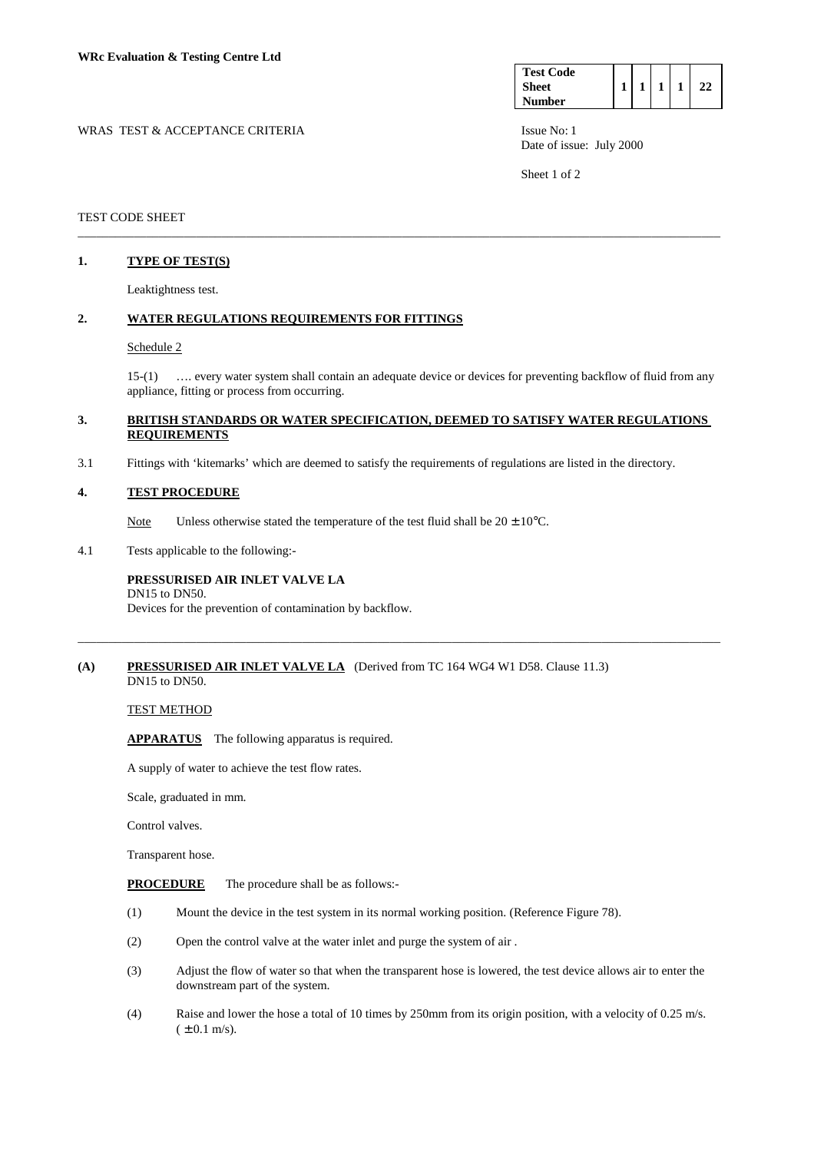| <b>Test Code</b> |  |  |  |
|------------------|--|--|--|
| <b>Sheet</b>     |  |  |  |
| <b>Number</b>    |  |  |  |

WRAS TEST & ACCEPTANCE CRITERIA ISSUE No: 1 Date of issue: July 2000

Sheet 1 of 2

## TEST CODE SHEET

## **1. TYPE OF TEST(S)**

Leaktightness test.

#### **2. WATER REGULATIONS REQUIREMENTS FOR FITTINGS**

#### Schedule 2

 15-(1) …. every water system shall contain an adequate device or devices for preventing backflow of fluid from any appliance, fitting or process from occurring.

#### **3. BRITISH STANDARDS OR WATER SPECIFICATION, DEEMED TO SATISFY WATER REGULATIONS REQUIREMENTS**

\_\_\_\_\_\_\_\_\_\_\_\_\_\_\_\_\_\_\_\_\_\_\_\_\_\_\_\_\_\_\_\_\_\_\_\_\_\_\_\_\_\_\_\_\_\_\_\_\_\_\_\_\_\_\_\_\_\_\_\_\_\_\_\_\_\_\_\_\_\_\_\_\_\_\_\_\_\_\_\_\_\_\_\_\_\_\_\_\_\_\_\_\_\_\_\_\_\_\_\_\_\_\_

\_\_\_\_\_\_\_\_\_\_\_\_\_\_\_\_\_\_\_\_\_\_\_\_\_\_\_\_\_\_\_\_\_\_\_\_\_\_\_\_\_\_\_\_\_\_\_\_\_\_\_\_\_\_\_\_\_\_\_\_\_\_\_\_\_\_\_\_\_\_\_\_\_\_\_\_\_\_\_\_\_\_\_\_\_\_\_\_\_\_\_\_\_\_\_\_\_\_\_\_\_\_\_

3.1 Fittings with 'kitemarks' which are deemed to satisfy the requirements of regulations are listed in the directory.

## **4. TEST PROCEDURE**

Note Unless otherwise stated the temperature of the test fluid shall be  $20 \pm 10^{\circ}$ C.

4.1 Tests applicable to the following:-

#### **PRESSURISED AIR INLET VALVE LA**  DN15 to DN50.

Devices for the prevention of contamination by backflow.

#### **(A) PRESSURISED AIR INLET VALVE LA** (Derived from TC 164 WG4 W1 D58. Clause 11.3) DN15 to DN50.

# TEST METHOD

 **APPARATUS** The following apparatus is required.

A supply of water to achieve the test flow rates.

Scale, graduated in mm.

Control valves.

Transparent hose.

**PROCEDURE** The procedure shall be as follows:-

- (1) Mount the device in the test system in its normal working position. (Reference Figure 78).
- (2) Open the control valve at the water inlet and purge the system of air .
- (3) Adjust the flow of water so that when the transparent hose is lowered, the test device allows air to enter the downstream part of the system.
- (4) Raise and lower the hose a total of 10 times by 250mm from its origin position, with a velocity of 0.25 m/s.  $( \pm 0.1 \text{ m/s}).$